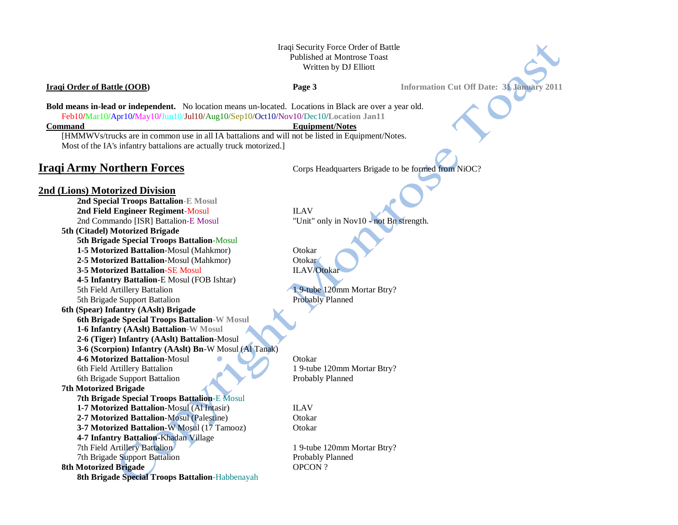# Iraqi Security Force Order of Battle Published at Montrose Toast Written by DJ Elliott

**Iraqi Order of Battle (OOB) Page 3 Information Cut Off Date: 31 January 2011** 

**Bold means in-lead or independent.** No location means un-located. Locations in Black are over a year old. Feb10**/**Mar10**/**Apr10**/**May10**/**Jun10/Jul10/Aug10/Sep10**/**Oct10/Nov10/Dec10**/Location Jan11**

### **Command** Equipment/Notes

[HMMWVs/trucks are in common use in all IA battalions and will not be listed in Equipment/Notes. Most of the IA's infantry battalions are actually truck motorized.]

**Iraqi Army Northern Forces** Corps Headquarters Brigade to be formed from NiOC?

# **2nd (Lions) Motorized Division**

**2nd Special Troops Battalion-E Mosul 2nd Field Engineer Regiment-Mosul ILAV** 2nd Commando [ISR] Battalion-E Mosul "Unit" only in Nov10 - not Bn strength. **5th (Citadel) Motorized Brigade 5th Brigade Special Troops Battalion**-Mosul **1-5 Motorized Battalion-Mosul (Mahkmor)** Otokar **2-5 Motorized Battalion**-Mosul (Mahkmor) Otokar **3-5 Motorized Battalion-SE Mosul ILAV/Otokar 4-5 Infantry Battalion**-E Mosul (FOB Ishtar) 5th Field Artillery Battalion 1 9-tube 120mm Mortar Btry? 5th Brigade Support Battalion Probably Planned **6th (Spear) Infantry (AAslt) Brigade 6th Brigade Special Troops Battalion-W Mosul 1-6 Infantry (AAslt) Battalion-W Mosul 2-6 (Tiger) Infantry (AAslt) Battalion**-Mosul **3-6 (Scorpion) Infantry (AAslt) Bn**-W Mosul (Al Tanak) **4-6 Motorized Battalion-Mosul Constantial Constantial Constantial Constantial Constantial Constantial Constantial Constantial Constantial Constantial Constantial Constantial Constantial Constantial Constantial Constantial** 6th Field Artillery Battalion 1 9-tube 120mm Mortar Btry? 6th Brigade Support Battalion Probably Planned **7th Motorized Brigade 7th Brigade Special Troops Battalion**-E Mosul **1-7 Motorized Battalion-Mosul (Al Intasir)** ILAV **2-7 Motorized Battalion**-Mosul (Palestine) Otokar **3-7 Motorized Battalion**-W Mosul (17 Tamooz) Otokar **4-7 Infantry Battalion**-Khadan Village

7th Brigade Support Battalion Probably Planned

**8th Motorized Brigade** OPCON ?

**8th Brigade Special Troops Battalion**-Habbenayah

7th Field Artillery Battalion 1 9-tube 120mm Mortar Btry?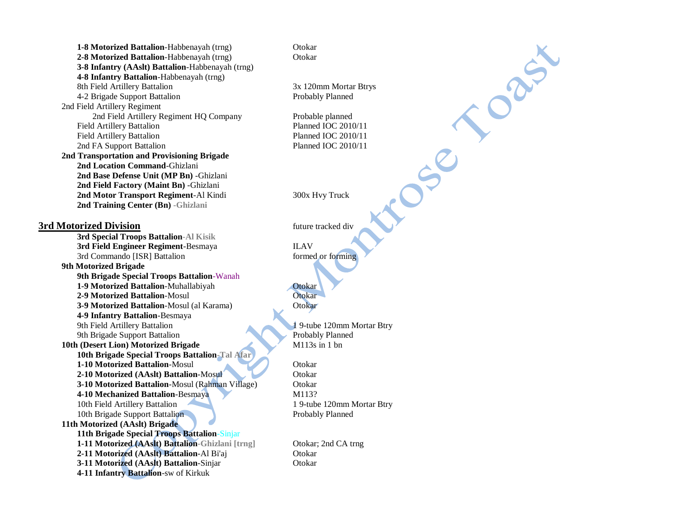**1-8 Motorized Battalion-Habbenayah (trng)** Otokar **2-8 Motorized Battalion-Habbenayah (trng)** Otokar **3-8 Infantry (AAslt) Battalion**-Habbenayah (trng) **4-8 Infantry Battalion**-Habbenayah (trng) 8th Field Artillery Battalion 3x 120mm Mortar Btrys 4-2 Brigade Support Battalion Probably Planned 2nd Field Artillery Regiment 2nd Field Artillery Regiment HO Company Probable planned Field Artillery Battalion Planned IOC 2010/11 Field Artillery Battalion **Planned IOC 2010/11** 2nd FA Support Battalion Planned IOC 2010/11 **2nd Transportation and Provisioning Brigade 2nd Location Command**-Ghizlani **2nd Base Defense Unit (MP Bn)** -Ghizlani **2nd Field Factory (Maint Bn)** -Ghizlani **2nd Motor Transport Regiment**-Al Kindi 300x Hvy Truck **2nd Training Center (Bn) -Ghizlani 3rd Motorized Division** future tracked div **3rd Special Troops Battalion-Al Kisik 3rd Field Engineer Regiment-Besmaya ILAV** 3rd Commando [ISR] Battalion formed or forming **9th Motorized Brigade 9th Brigade Special Troops Battalion**-Wanah **1-9 Motorized Battalion-Muhallabiyah Otokar 2-9 Motorized Battalion**-Mosul Otokar **3-9 Motorized Battalion**-Mosul (al Karama) Otokar **4-9 Infantry Battalion**-Besmaya 9th Field Artillery Battalion 1 9-tube 120mm Mortar Btry 9th Brigade Support Battalion Probably Planned 10th (Desert Lion) Motorized Brigade M113s in 1 bn **10th Brigade Special Troops Battalion-Tal Afar 1-10 Motorized Battalion-Mosul Constantinent Constantinent Constantinent Constantinent Constantinent Constantinent Constantinent Constantinent Constantinent Constantinent Constantinent Constantinent Constantinent Constant** 2-10 Motorized (AAslt) Battalion-Mosul Otokar **3-10 Motorized Battalion**-Mosul (Rahman Village) Otokar **4-10 Mechanized Battalion-Besmaya** M113? 10th Field Artillery Battalion 1 9-tube 120mm Mortar Btry 10th Brigade Support Battalion Probably Planned **11th Motorized (AAslt) Brigade 11th Brigade Special Troops Battalion**-Sinjar **1-11 Motorized (AAslt) Battalion-Ghizlani [trng]** Otokar; 2nd CA trng **2-11 Motorized (AAslt) Battalion**-Al Bi'aj Otokar **3-11 Motorized (AAslt) Battalion-Sinjar Channel Otokar 4-11 Infantry Battalion**-sw of Kirkuk

orgi

 $S^2$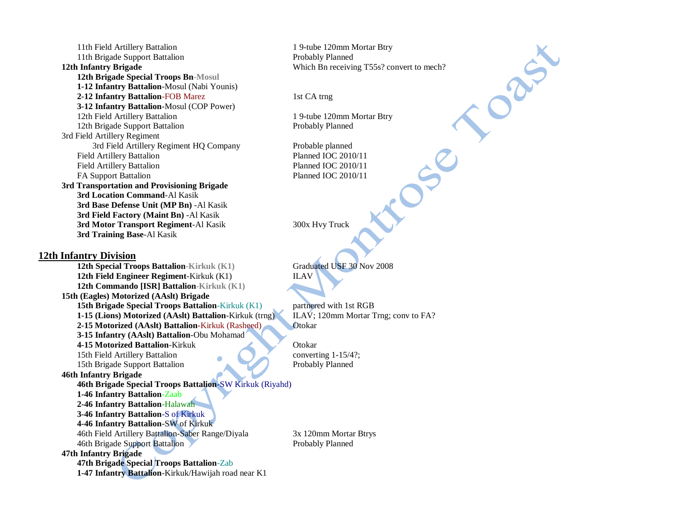11th Field Artillery Battalion 1 9-tube 120mm Mortar Btry 11th Brigade Support Battalion **Probably Planned 12th Infantry Brigade** Which Bn receiving T55s? convert to mech? **12th Brigade Special Troops Bn-Mosul 1-12 Infantry Battalion**-Mosul (Nabi Younis) **2-12 Infantry Battalion-FOB Marez 1st CA trng 3-12 Infantry Battalion**-Mosul (COP Power) 12th Field Artillery Battalion 1 9-tube 120mm Mortar Btry 12th Brigade Support Battalion Probably Planned 3rd Field Artillery Regiment 3rd Field Artillery Regiment HQ Company Probable planned Field Artillery Battalion **Planned IOC 2010/11** Field Artillery Battalion **Planned IOC 2010/11** FA Support Battalion Planned IOC 2010/11 **3rd Transportation and Provisioning Brigade 3rd Location Command**-Al Kasik **3rd Base Defense Unit (MP Bn)** -Al Kasik **3rd Field Factory (Maint Bn)** -Al Kasik **3rd Motor Transport Regiment-Al Kasik 300x Hvy Truck 3rd Training Base**-Al Kasik **12th Infantry Division 12th Special Troops Battalion-Kirkuk (K1) Graduated USF 30 Nov 2008 12th Field Engineer Regiment-Kirkuk (K1)** ILAV **12th Commando [ISR] Battalion-Kirkuk (K1) 15th (Eagles) Motorized (AAslt) Brigade 15th Brigade Special Troops Battalion-Kirkuk (K1)** partnered with 1st RGB **1-15 (Lions) Motorized (AAslt) Battalion**-Kirkuk (trng) ILAV; 120mm Mortar Trng; conv to FA? **2-15 Motorized (AAslt) Battalion-Kirkuk (Rasheed) Otokar 3-15 Infantry (AAslt) Battalion**-Obu Mohamad **4-15 Motorized Battalion-Kirkuk Otokar** 15th Field Artillery Battalion converting 1-15/4?; 15th Brigade Support Battalion Probably Planned **46th Infantry Brigade 46th Brigade Special Troops Battalion**-SW Kirkuk (Riyahd) **1-46 Infantry Battalion**-Zaab **2-46 Infantry Battalion**-Halawah **3-46 Infantry Battalion**-S of Kirkuk **4-46 Infantry Battalion**-SW of Kirkuk 46th Field Artillery Battalion-Saber Range/Diyala 3x 120mm Mortar Btrys 46th Brigade Support Battalion Probably Planned **47th Infantry Brigade 47th Brigade Special Troops Battalion**-Zab **1-47 Infantry Battalion**-Kirkuk/Hawijah road near K1

Oask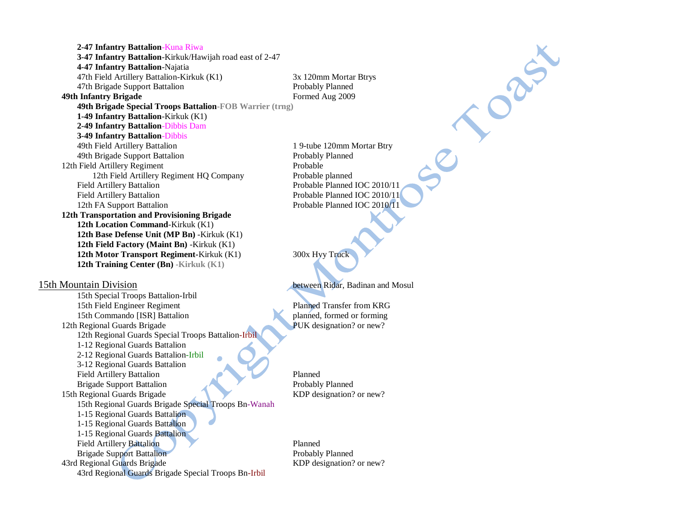**2-47 Infantry Battalion**-Kuna Riwa **3-47 Infantry Battalion**-Kirkuk/Hawijah road east of 2-47 **4-47 Infantry Battalion**-Najatia 47th Field Artillery Battalion-Kirkuk (K1) 3x 120mm Mortar Btrys 47th Brigade Support Battalion **Probably Planned 49th Infantry Brigade** Formed Aug 2009 **49th Brigade Special Troops Battalion-FOB Warrier (trng) 1-49 Infantry Battalion**-Kirkuk (K1) **2-49 Infantry Battalion**-Dibbis Dam **3-49 Infantry Battalion**-Dibbis 49th Field Artillery Battalion 1 9-tube 120mm Mortar Btry 49th Brigade Support Battalion Probably Planned 12th Field Artillery Regiment Probable 12th Field Artillery Regiment HO Company Probable planned Field Artillery Battalion Probable Planned IOC 2010/11 Field Artillery Battalion **Probable Planned IOC 2010/11** 12th FA Support Battalion Probable Planned IOC 2010/11 **12th Transportation and Provisioning Brigade 12th Location Command**-Kirkuk (K1) **12th Base Defense Unit (MP Bn)** -Kirkuk (K1) **12th Field Factory (Maint Bn)** -Kirkuk (K1) **12th Motor Transport Regiment-Kirkuk (K1)** 300x Hyy Truck **12th Training Center (Bn) -Kirkuk (K1)**  15th Mountain Division between Ridar, Badinan and Mosul 15th Special Troops Battalion-Irbil

15th Field Engineer Regiment Planned Transfer from KRG 15th Commando [ISR] Battalion planned, formed or forming 12th Regional Guards Brigade PUK designation? or new? 12th Regional Guards Special Troops Battalion-Irbil 1-12 Regional Guards Battalion 2-12 Regional Guards Battalion-Irbil 3-12 Regional Guards Battalion Field Artillery Battalion Planned Brigade Support Battalion Probably Planned 15th Regional Guards Brigade KDP designation? or new? 15th Regional Guards Brigade Special Troops Bn-Wanah 1-15 Regional Guards Battalion 1-15 Regional Guards Battalion 1-15 Regional Guards Battalion Field Artillery Battalion Planned Brigade Support Battalion Probably Planned 43rd Regional Guards Brigade KDP designation? or new? 43rd Regional Guards Brigade Special Troops Bn-Irbil

ORIGIN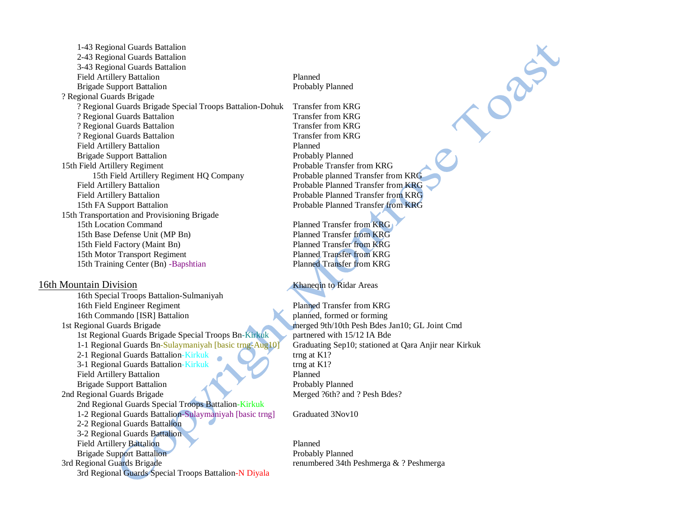1-43 Regional Guards Battalion 2-43 Regional Guards Battalion 3-43 Regional Guards Battalion Field Artillery Battalion Planned Brigade Support Battalion Probably Planned ? Regional Guards Brigade ? Regional Guards Brigade Special Troops Battalion-Dohuk Transfer from KRG ? Regional Guards Battalion Transfer from KRG ? Regional Guards Battalion Transfer from KRG ? Regional Guards Battalion Transfer from KRG Field Artillery Battalion Planned Brigade Support Battalion **Probably Planned** Probably Planned 15th Field Artillery Regiment Probable Transfer from KRG 15th Field Artillery Regiment HQ Company Probable planned Transfer from KRG Field Artillery Battalion Probable Planned Transfer from KRG Field Artillery Battalion Probable Planned Transfer from KRG 15th FA Support Battalion Probable Planned Transfer from KRG 15th Transportation and Provisioning Brigade 15th Location Command Planned Transfer from KRG 15th Base Defense Unit (MP Bn) Planned Transfer from KRG 15th Field Factory (Maint Bn) Planned Transfer from KRG 15th Motor Transport Regiment Planned Transfer from KRG 15th Training Center (Bn) -Bapshtian Planned Transfer from KRG

## 16th Mountain Division 16th Mountain Division

16th Special Troops Battalion-Sulmaniyah 16th Field Engineer Regiment Planned Transfer from KRG 16th Commando [ISR] Battalion planned, formed or forming 1st Regional Guards Brigade merged 9th/10th Pesh Bdes Jan10; GL Joint Cmd 1st Regional Guards Brigade Special Troops Bn-Kirkuk partnered with 15/12 IA Bde 1-1 Regional Guards Bn-Sulaymaniyah [basic trng-Aug10] Graduating Sep10; stationed at Qara Anjir near Kirkuk 2-1 Regional Guards Battalion-Kirkuk trng at K1? 3-1 Regional Guards Battalion-Kirkuk trng at K1? Field Artillery Battalion Planned Brigade Support Battalion Probably Planned 2nd Regional Guards Brigade Merged ?6th? and ? Pesh Bdes? 2nd Regional Guards Special Troops Battalion-Kirkuk 1-2 Regional Guards Battalion-Sulaymaniyah [basic trng] Graduated 3Nov10 2-2 Regional Guards Battalion 3-2 Regional Guards Battalion Field Artillery Battalion Planned Brigade Support Battalion Probably Planned 3rd Regional Guards Brigade renumbered 34th Peshmerga & ? Peshmerga 3rd Regional Guards Special Troops Battalion-N Diyala

Cabiner